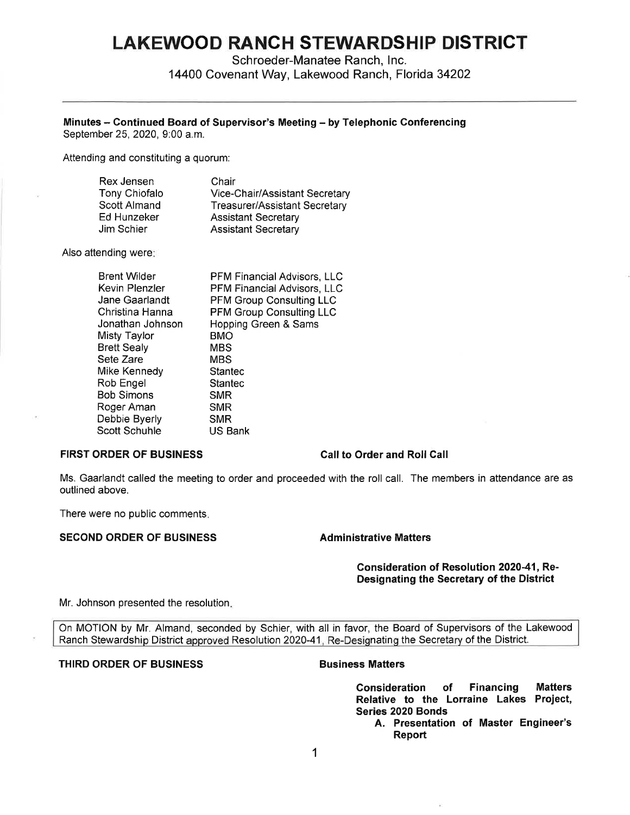# **LAKEWOOD RANCH STEWARDSHIP DISTRICT**

Schroeder-Manatee Ranch, Inc.

14400 Covenant Way, Lakewood Ranch, Florida 34202

# **Minutes - Continued Board of Supervisor's Meeting** - **by Telephonic Conferencing**

September 25, 2020, 9:00 a.m.

Attending and constituting a quorum:

| Rex Jensen    | Chair                          |
|---------------|--------------------------------|
| Tony Chiofalo | Vice-Chair/Assistant Secretary |
| Scott Almand  | Treasurer/Assistant Secretary  |
| Ed Hunzeker   | <b>Assistant Secretary</b>     |
| Jim Schier    | <b>Assistant Secretary</b>     |

Also attending were:

| <b>Brent Wilder</b> | PFM Financial Advisors, LLC     |
|---------------------|---------------------------------|
| Kevin Plenzler      | PFM Financial Advisors, LLC     |
| Jane Gaarlandt      | <b>PFM Group Consulting LLC</b> |
| Christina Hanna     | <b>PFM Group Consulting LLC</b> |
| Jonathan Johnson    | Hopping Green & Sams            |
| Misty Taylor        | <b>BMO</b>                      |
| <b>Brett Sealy</b>  | MBS                             |
| Sete Zare           | MBS                             |
| Mike Kennedy        | Stantec                         |
| Rob Engel           | Stantec                         |
| Bob Simons          | <b>SMR</b>                      |
| Roger Aman          | <b>SMR</b>                      |
| Debbie Byerly       | <b>SMR</b>                      |
| Scott Schuhle       | US Bank                         |

## **FIRST ORDER OF BUSINESS Call to Order and Roll Call**

Ms. Gaarlandt called the meeting to order and proceeded with the roll call. The members in attendance are as outlined above.

There were no public comments.

# **SECOND ORDER OF BUSINESS Administrative Matters**

## **Consideration of Resolution 2020-41, Re-Designating the Secretary of the District**

Mr. Johnson presented the resolution.

On MOTION by Mr. Almand, seconded by Schier, with all in favor, the Board of Supervisors of the Lakewood Ranch Stewardship District approved Resolution 2020-41, Re-Designating the Secretary of the District.

## **THIRD ORDER OF BUSINESS CONSUMING BUSINESS Matters**

**Consideration of Financing Matters Relative to the Lorraine Lakes Project, Series 2020 Bonds** 

**A. Presentation of Master Engineer's Report**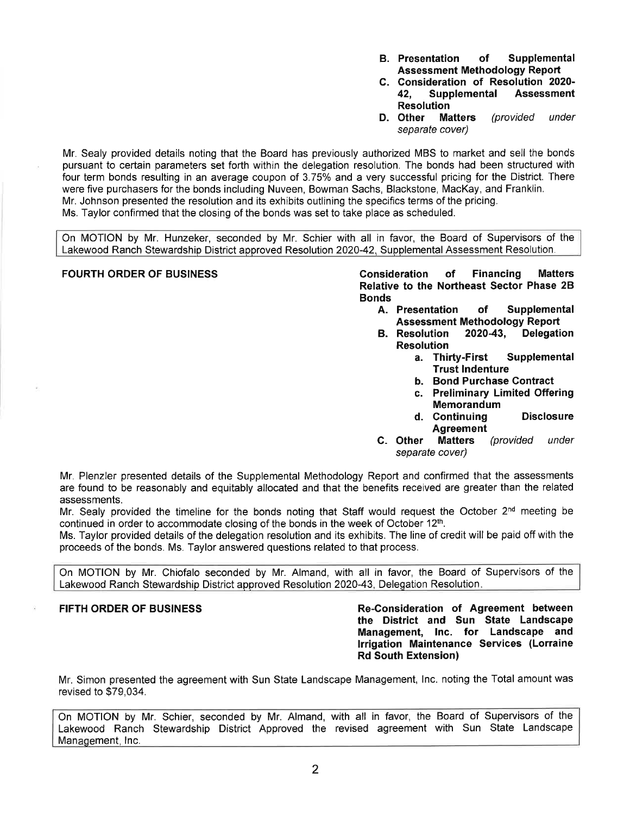- **8. Presentation of Supplemental Assessment Methodology Report**
- **C. Consideration of Resolution 2020- 42, Supplemental Assessment Resolution**
- **D. Other Matters** (provided under separate cover)

Mr. Sealy provided details noting that the Board has previously authorized MBS to market and sell the bonds pursuant to certain parameters set forth within the delegation resolution. The bonds had been structured with four term bonds resulting in an average coupon of 3. 75% and a very successful pricing for the District. There were five purchasers for the bonds including Nuveen, Bowman Sachs, Blackstone, MacKay, and Franklin. Mr. Johnson presented the resolution and its exhibits outlining the specifics terms of the pricing. Ms. Taylor confirmed that the closing of the bonds was set to take place as scheduled.

On MOTION by Mr. Hunzeker, seconded by Mr. Schier with all in favor, the Board of Supervisors of the Lakewood Ranch Stewardship District approved Resolution 2020-42, Supplemental Assessment Resolution.

**FOURTH ORDER OF BUSINESS Consideration of Financing Matters Relative to the Northeast Sector Phase 28 Bonds** 

- **A. Presentation of Supplemental Assessment Methodology Report**
- **8. Resolution 2020-43, Delegation Resolution** 
	- **a. Thirty-First Supplemental Trust Indenture**
	- **b. Bond Purchase Contract**
	- **c. Preliminary Limited Offering Memorandum**
	- **d. Continuing Disclosure Agreement**
- **C. Other Matters** (provided under separate cover)

Mr. Plenzler presented details of the Supplemental Methodology Report and confirmed that the assessments are found to be reasonably and equitably allocated and that the benefits received are greater than the related assessments.

Mr. Sealy provided the timeline for the bonds noting that Staff would request the October  $2<sup>nd</sup>$  meeting be continued in order to accommodate closing of the bonds in the week of October 12th.

Ms. Taylor provided details of the delegation resolution and its exhibits. The line of credit will be paid off with the proceeds of the bonds. Ms. Taylor answered questions related to that process.

On MOTION by Mr. Chiofalo seconded by Mr. Almand, with all in favor, the Board of Supervisors of the Lakewood Ranch Stewardship District approved Resolution 2020-43, Delegation Resolution.

**FIFTH ORDER OF BUSINESS Re-Consideration of Agreement between the District and Sun State Landscape Management, Inc. for Landscape and Irrigation Maintenance Services (Lorraine Rd South Extension)** 

Mr. Simon presented the agreement with Sun State Landscape Management, Inc. noting the Total amount was revised to \$79,034.

On MOTION by Mr. Schier, seconded by Mr. Almand, with all in favor, the Board of Supervisors of the Lakewood Ranch Stewardship District Approved the revised agreement with Sun State Landscape Management, Inc.